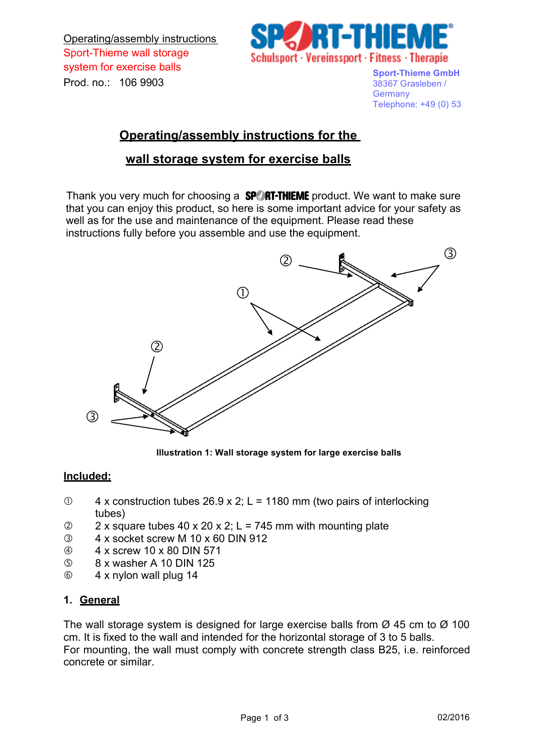Operating/assembly instructions Sport-Thieme wall storage system for exercise balls Prod. no.: 106 9903



**Sport-Thieme GmbH** 38367 Grasleben / **Germany** Telephone: +49 (0) 53

# **Operating/assembly instructions for the**

# **wall storage system for exercise balls**

Thank you very much for choosing a **SP FIHIEME** product. We want to make sure that you can enjoy this product, so here is some important advice for your safety as well as for the use and maintenance of the equipment. Please read these instructions fully before you assemble and use the equipment.



**Illustration 1: Wall storage system for large exercise balls**

## **Included:**

- $\degree$  4 x construction tubes 26.9 x 2; L = 1180 mm (two pairs of interlocking tubes)
- 2 x square tubes 40 x 20 x 2; L = 745 mm with mounting plate
- 4 x socket screw M 10 x 60 DIN 912
- 4 x screw 10 x 80 DIN 571
- 8 x washer A 10 DIN 125
- $6$  4 x nylon wall plug 14

## **1. General**

The wall storage system is designed for large exercise balls from  $\varnothing$  45 cm to  $\varnothing$  100 cm. It is fixed to the wall and intended for the horizontal storage of 3 to 5 balls. For mounting, the wall must comply with concrete strength class B25, i.e. reinforced concrete or similar.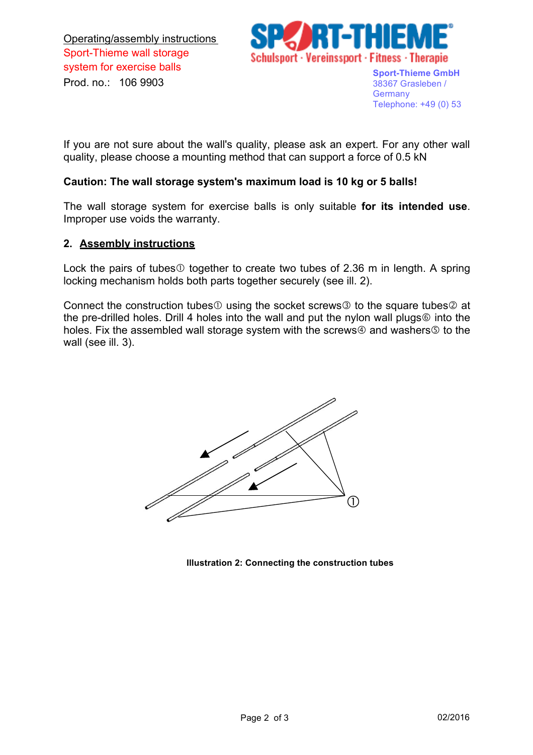Operating/assembly instructions Sport-Thieme wall storage system for exercise balls Prod. no.: 106 9903



**Sport-Thieme GmbH** 38367 Grasleben / **Germany** Telephone: +49 (0) 53

If you are not sure about the wall's quality, please ask an expert. For any other wall quality, please choose a mounting method that can support a force of 0.5 kN

## **Caution: The wall storage system's maximum load is 10 kg or 5 balls!**

The wall storage system for exercise balls is only suitable **for its intended use**. Improper use voids the warranty.

## **2. Assembly instructions**

Lock the pairs of tubes  $\odot$  together to create two tubes of 2.36 m in length. A spring locking mechanism holds both parts together securely (see ill. 2).

Connect the construction tubes  $\mathbb D$  using the socket screws  $\mathbb D$  to the square tubes  $\mathbb Q$  at the pre-drilled holes. Drill 4 holes into the wall and put the nylon wall plugs  $\circ$  into the holes. Fix the assembled wall storage system with the screws  $\Phi$  and washers  $\Phi$  to the wall (see ill. 3).



**Illustration 2: Connecting the construction tubes**